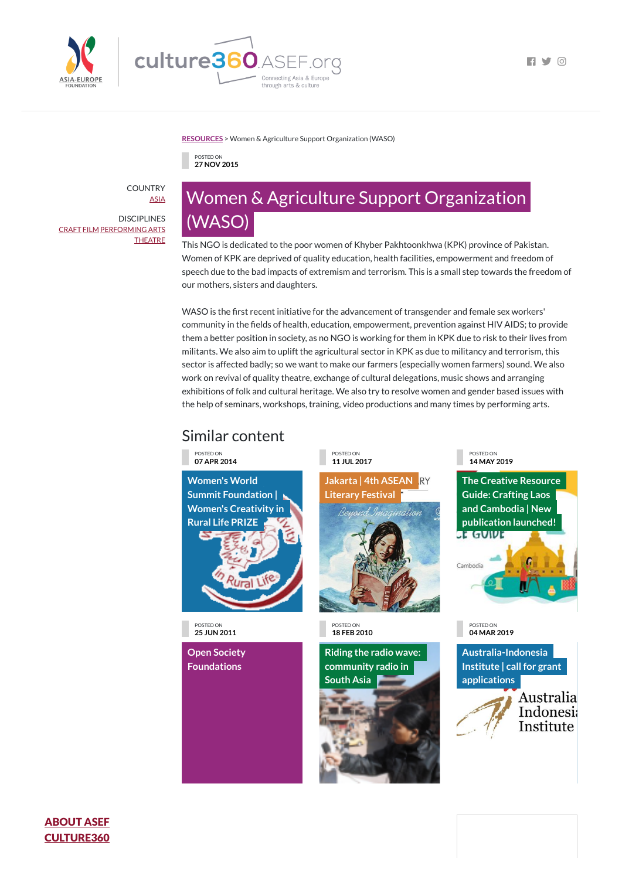



**FI Y 0** 

**[RESOURCES](https://culture360.asef.org/resources/)** > Women & Agriculture Support Organization (WASO)

## Similar content

POSTED ON **27 NOV 2015**

## Women & Agriculture Support Organization (WASO)

This NGO is dedicated to the poor women of Khyber Pakhtoonkhwa (KPK) province of Pakistan. Women of KPK are deprived of quality education, health facilities, empowerment and freedom of speech due to the bad impacts of extremism and terrorism. This is a small step towards the freedom of our mothers, sisters and daughters.

WASO is the first recent initiative for the advancement of transgender and female sex workers' community in the fields of health, education, empowerment, prevention against HIV AIDS; to provide them a better position in society, as no NGO is working for them in KPK due to risk to their lives from militants. We also aim to uplift the agricultural sector in KPK as due to militancy and terrorism, this sector is affected badly; so we want to make our farmers (especially women farmers) sound. We also work on revival of quality theatre, exchange of cultural delegations, music shows and arranging exhibitions of folk and cultural heritage. We also try to resolve women and gender based issues with the help of seminars, workshops, training, video productions and many times by performing arts.

> **The Creative Resource Guide: Crafting Laos and Cambodia | New [publication](https://culture360.asef.org/magazine/creative-resource-guide-crafting-laos-and-cambodia-new-publication-launched/) launched!** <u>st Guint</u>



POSTED ON **07 APR 2014**

**Women's World Summit [Foundation](https://culture360.asef.org/opportunities/womens-world-summit-foundation-womens-creativity-rural-life-prize/) | Women's Creativity in Rural Life PRIZE**



**Jakarta | 4th ASEAN RY [Literary](https://culture360.asef.org/news-events/jakarta-4th-asean-literary-festival/) Festival**



POSTED ON **14 MAY 2019**

POSTED ON **25 JUN 2011**

**Open Society**

## **[Foundations](https://culture360.asef.org/resources/open-society-foundations/)**

POSTED ON **18 FEB 2010**

**Riding the radio wave:**





POSTED ON **04 MAR 2019**

**[Australia-Indonesia](https://culture360.asef.org/opportunities/australia-indonesia-institute-call-for-grant-applications/)**

**Institute | call for grant applications**



COUNTRY [ASIA](https://culture360.asef.org/countries/asia/)

**DISCIPLINES** [CRAFT](https://culture360.asef.org/disciplines/craft/) [FILM](https://culture360.asef.org/disciplines/film/) [PERFORMING](https://culture360.asef.org/disciplines/performing-arts/) ARTS **[THEATRE](https://culture360.asef.org/disciplines/theatre/)** 

## ABOUT ASEF [CULTURE360](https://culture360.asef.org/about)